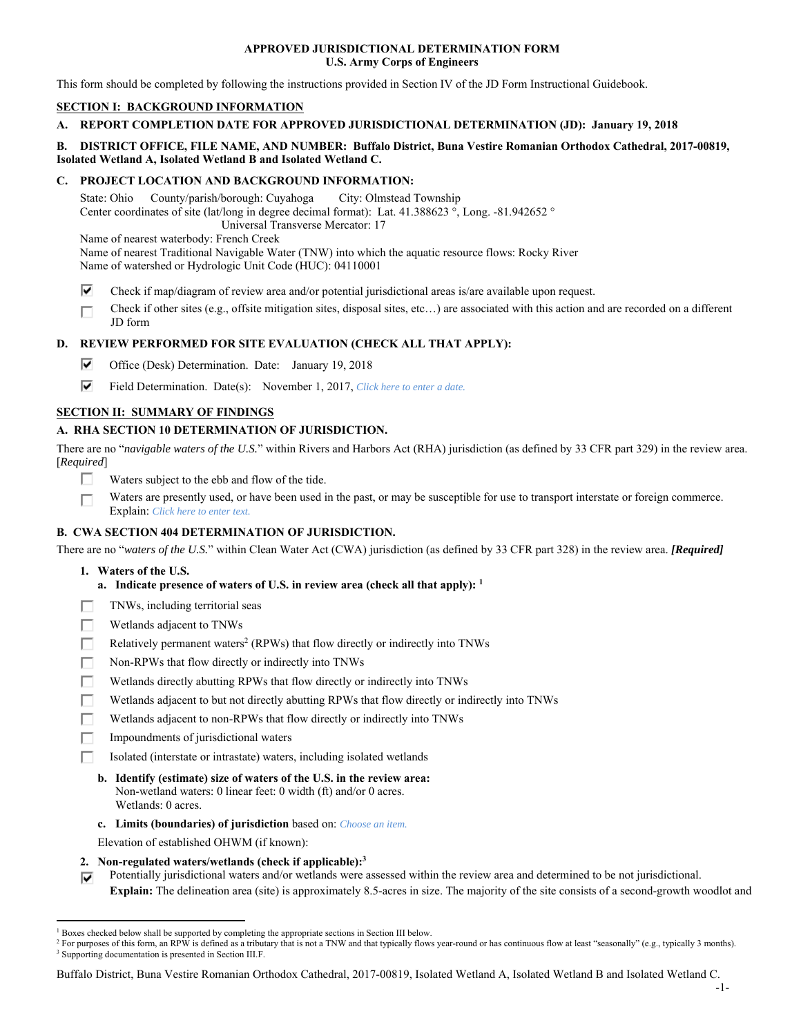## **APPROVED JURISDICTIONAL DETERMINATION FORM U.S. Army Corps of Engineers**

This form should be completed by following the instructions provided in Section IV of the JD Form Instructional Guidebook.

# **SECTION I: BACKGROUND INFORMATION**

# **A. REPORT COMPLETION DATE FOR APPROVED JURISDICTIONAL DETERMINATION (JD): January 19, 2018**

## **B. DISTRICT OFFICE, FILE NAME, AND NUMBER: Buffalo District, Buna Vestire Romanian Orthodox Cathedral, 2017-00819, Isolated Wetland A, Isolated Wetland B and Isolated Wetland C.**

## **C. PROJECT LOCATION AND BACKGROUND INFORMATION:**

State: Ohio County/parish/borough: Cuyahoga City: Olmstead Township Center coordinates of site (lat/long in degree decimal format): Lat. 41.388623 °, Long. -81.942652 ° Universal Transverse Mercator: 17 Name of nearest waterbody: French Creek Name of nearest Traditional Navigable Water (TNW) into which the aquatic resource flows: Rocky River

Name of watershed or Hydrologic Unit Code (HUC): 04110001

- ⊽ Check if map/diagram of review area and/or potential jurisdictional areas is/are available upon request.
- Check if other sites (e.g., offsite mitigation sites, disposal sites, etc…) are associated with this action and are recorded on a different г JD form

# **D. REVIEW PERFORMED FOR SITE EVALUATION (CHECK ALL THAT APPLY):**

- ⊽. Office (Desk) Determination. Date: January 19, 2018
- ⊽. Field Determination. Date(s): November 1, 2017, *Click here to enter a date.*

## **SECTION II: SUMMARY OF FINDINGS**

# **A. RHA SECTION 10 DETERMINATION OF JURISDICTION.**

There are no "*navigable waters of the U.S.*" within Rivers and Harbors Act (RHA) jurisdiction (as defined by 33 CFR part 329) in the review area. [*Required*]

- п Waters subject to the ebb and flow of the tide.
- Waters are presently used, or have been used in the past, or may be susceptible for use to transport interstate or foreign commerce. П Explain: *Click here to enter text.*

## **B. CWA SECTION 404 DETERMINATION OF JURISDICTION.**

There are no "*waters of the U.S.*" within Clean Water Act (CWA) jurisdiction (as defined by 33 CFR part 328) in the review area. *[Required]*

- **1. Waters of the U.S.** 
	- **a. Indicate presence of waters of U.S. in review area (check all that apply): 1**
- TNWs, including territorial seas Е
- Wetlands adjacent to TNWs п
- Relatively permanent waters<sup>2</sup> (RPWs) that flow directly or indirectly into TNWs п
- г Non-RPWs that flow directly or indirectly into TNWs
- Wetlands directly abutting RPWs that flow directly or indirectly into TNWs п
- Е Wetlands adjacent to but not directly abutting RPWs that flow directly or indirectly into TNWs
- г Wetlands adjacent to non-RPWs that flow directly or indirectly into TNWs
- п Impoundments of jurisdictional waters
- Isolated (interstate or intrastate) waters, including isolated wetlands п
	- **b. Identify (estimate) size of waters of the U.S. in the review area:**  Non-wetland waters: 0 linear feet: 0 width (ft) and/or 0 acres. Wetlands: 0 acres.
	- **c. Limits (boundaries) of jurisdiction** based on: *Choose an item.*
	- Elevation of established OHWM (if known):
- **2. Non-regulated waters/wetlands (check if applicable):3**
- Potentially jurisdictional waters and/or wetlands were assessed within the review area and determined to be not jurisdictional. ⊽ **Explain:** The delineation area (site) is approximately 8.5-acres in size. The majority of the site consists of a second-growth woodlot and

Buffalo District, Buna Vestire Romanian Orthodox Cathedral, 2017-00819, Isolated Wetland A, Isolated Wetland B and Isolated Wetland C.

 $\overline{a}$ <sup>1</sup> Boxes checked below shall be supported by completing the appropriate sections in Section III below.<br><sup>2</sup> For purposes of this form, an PPW is defined as a tributary that is not a TNW and that typically flows

<sup>&</sup>lt;sup>2</sup> For purposes of this form, an RPW is defined as a tributary that is not a TNW and that typically flows year-round or has continuous flow at least "seasonally" (e.g., typically 3 months). <sup>3</sup> Supporting documentation is presented in Section III.F.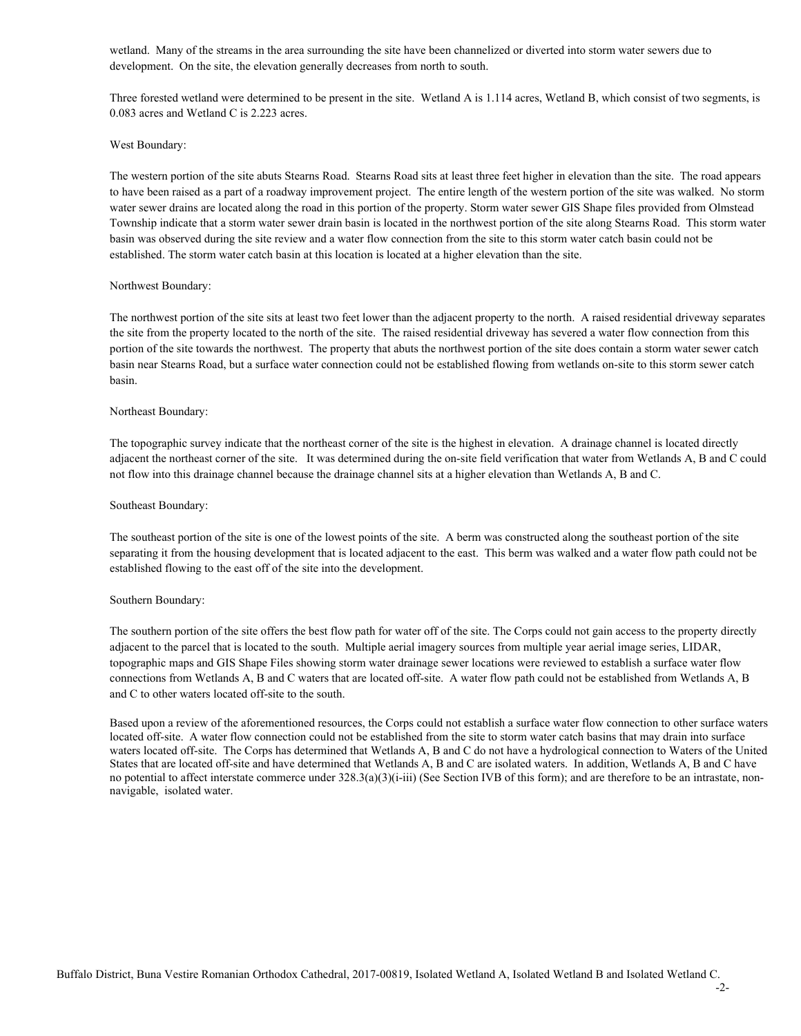wetland. Many of the streams in the area surrounding the site have been channelized or diverted into storm water sewers due to development. On the site, the elevation generally decreases from north to south.

Three forested wetland were determined to be present in the site. Wetland A is 1.114 acres, Wetland B, which consist of two segments, is 0.083 acres and Wetland C is 2.223 acres.

#### West Boundary:

The western portion of the site abuts Stearns Road. Stearns Road sits at least three feet higher in elevation than the site. The road appears to have been raised as a part of a roadway improvement project. The entire length of the western portion of the site was walked. No storm water sewer drains are located along the road in this portion of the property. Storm water sewer GIS Shape files provided from Olmstead Township indicate that a storm water sewer drain basin is located in the northwest portion of the site along Stearns Road. This storm water basin was observed during the site review and a water flow connection from the site to this storm water catch basin could not be established. The storm water catch basin at this location is located at a higher elevation than the site.

### Northwest Boundary:

The northwest portion of the site sits at least two feet lower than the adjacent property to the north. A raised residential driveway separates the site from the property located to the north of the site. The raised residential driveway has severed a water flow connection from this portion of the site towards the northwest. The property that abuts the northwest portion of the site does contain a storm water sewer catch basin near Stearns Road, but a surface water connection could not be established flowing from wetlands on-site to this storm sewer catch basin.

### Northeast Boundary:

The topographic survey indicate that the northeast corner of the site is the highest in elevation. A drainage channel is located directly adjacent the northeast corner of the site. It was determined during the on-site field verification that water from Wetlands A, B and C could not flow into this drainage channel because the drainage channel sits at a higher elevation than Wetlands A, B and C.

#### Southeast Boundary:

The southeast portion of the site is one of the lowest points of the site. A berm was constructed along the southeast portion of the site separating it from the housing development that is located adjacent to the east. This berm was walked and a water flow path could not be established flowing to the east off of the site into the development.

#### Southern Boundary:

The southern portion of the site offers the best flow path for water off of the site. The Corps could not gain access to the property directly adjacent to the parcel that is located to the south. Multiple aerial imagery sources from multiple year aerial image series, LIDAR, topographic maps and GIS Shape Files showing storm water drainage sewer locations were reviewed to establish a surface water flow connections from Wetlands A, B and C waters that are located off-site. A water flow path could not be established from Wetlands A, B and C to other waters located off-site to the south.

Based upon a review of the aforementioned resources, the Corps could not establish a surface water flow connection to other surface waters located off-site. A water flow connection could not be established from the site to storm water catch basins that may drain into surface waters located off-site. The Corps has determined that Wetlands A, B and C do not have a hydrological connection to Waters of the United States that are located off-site and have determined that Wetlands A, B and C are isolated waters. In addition, Wetlands A, B and C have no potential to affect interstate commerce under 328.3(a)(3)(i-iii) (See Section IVB of this form); and are therefore to be an intrastate, nonnavigable, isolated water.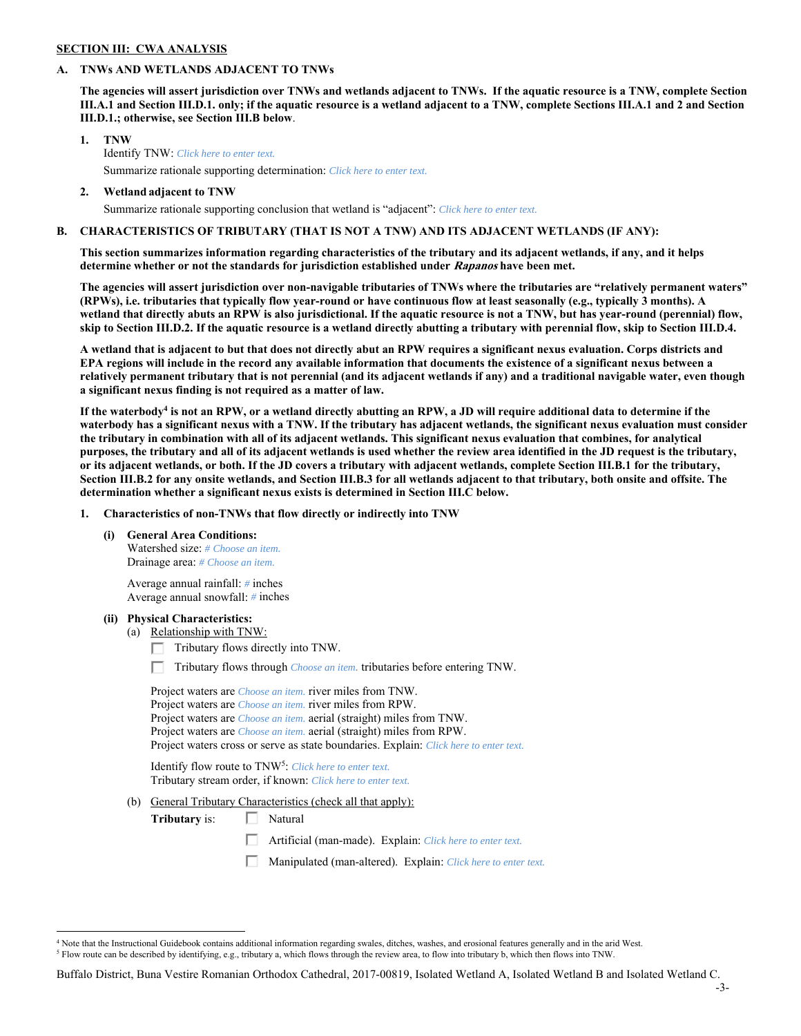# **SECTION III: CWA ANALYSIS**

## **A. TNWs AND WETLANDS ADJACENT TO TNWs**

**The agencies will assert jurisdiction over TNWs and wetlands adjacent to TNWs. If the aquatic resource is a TNW, complete Section III.A.1 and Section III.D.1. only; if the aquatic resource is a wetland adjacent to a TNW, complete Sections III.A.1 and 2 and Section III.D.1.; otherwise, see Section III.B below**.

- **1. TNW**  Identify TNW: *Click here to enter text.* Summarize rationale supporting determination: *Click here to enter text.*
- **2. Wetland adjacent to TNW**  Summarize rationale supporting conclusion that wetland is "adjacent": *Click here to enter text.*

## **B. CHARACTERISTICS OF TRIBUTARY (THAT IS NOT A TNW) AND ITS ADJACENT WETLANDS (IF ANY):**

**This section summarizes information regarding characteristics of the tributary and its adjacent wetlands, if any, and it helps determine whether or not the standards for jurisdiction established under Rapanos have been met.** 

**The agencies will assert jurisdiction over non-navigable tributaries of TNWs where the tributaries are "relatively permanent waters" (RPWs), i.e. tributaries that typically flow year-round or have continuous flow at least seasonally (e.g., typically 3 months). A wetland that directly abuts an RPW is also jurisdictional. If the aquatic resource is not a TNW, but has year-round (perennial) flow, skip to Section III.D.2. If the aquatic resource is a wetland directly abutting a tributary with perennial flow, skip to Section III.D.4.** 

**A wetland that is adjacent to but that does not directly abut an RPW requires a significant nexus evaluation. Corps districts and EPA regions will include in the record any available information that documents the existence of a significant nexus between a relatively permanent tributary that is not perennial (and its adjacent wetlands if any) and a traditional navigable water, even though a significant nexus finding is not required as a matter of law.**

If the waterbody<sup>4</sup> is not an RPW, or a wetland directly abutting an RPW, a JD will require additional data to determine if the **waterbody has a significant nexus with a TNW. If the tributary has adjacent wetlands, the significant nexus evaluation must consider the tributary in combination with all of its adjacent wetlands. This significant nexus evaluation that combines, for analytical purposes, the tributary and all of its adjacent wetlands is used whether the review area identified in the JD request is the tributary, or its adjacent wetlands, or both. If the JD covers a tributary with adjacent wetlands, complete Section III.B.1 for the tributary, Section III.B.2 for any onsite wetlands, and Section III.B.3 for all wetlands adjacent to that tributary, both onsite and offsite. The determination whether a significant nexus exists is determined in Section III.C below.** 

 **1. Characteristics of non-TNWs that flow directly or indirectly into TNW** 

 **(i) General Area Conditions:** 

 Watershed size: *# Choose an item.* Drainage area: *# Choose an item.*

 Average annual rainfall: *#* inches Average annual snowfall: *#* inches

### **(ii) Physical Characteristics:**

 $\overline{a}$ 

- (a) Relationship with TNW:
	- Tributary flows directly into TNW. п.

п Tributary flows through *Choose an item.* tributaries before entering TNW.

 Project waters are *Choose an item.* river miles from TNW. Project waters are *Choose an item.* river miles from RPW. Project waters are *Choose an item.* aerial (straight) miles from TNW. Project waters are *Choose an item.* aerial (straight) miles from RPW. Project waters cross or serve as state boundaries. Explain: *Click here to enter text.*

Identify flow route to TNW5: *Click here to enter text.* Tributary stream order, if known: *Click here to enter text.*

(b) General Tributary Characteristics (check all that apply):

**Tributary** is:  $\Box$  Natural

- П. Artificial (man-made). Explain: *Click here to enter text.*
- 口 Manipulated (man-altered). Explain: *Click here to enter text.*

Buffalo District, Buna Vestire Romanian Orthodox Cathedral, 2017-00819, Isolated Wetland A, Isolated Wetland B and Isolated Wetland C.

<sup>4</sup> Note that the Instructional Guidebook contains additional information regarding swales, ditches, washes, and erosional features generally and in the arid West.  $^5$  Flow route can be described by identifying, e.g., tributary a, which flows through the review area, to flow into tributary b, which then flows into TNW.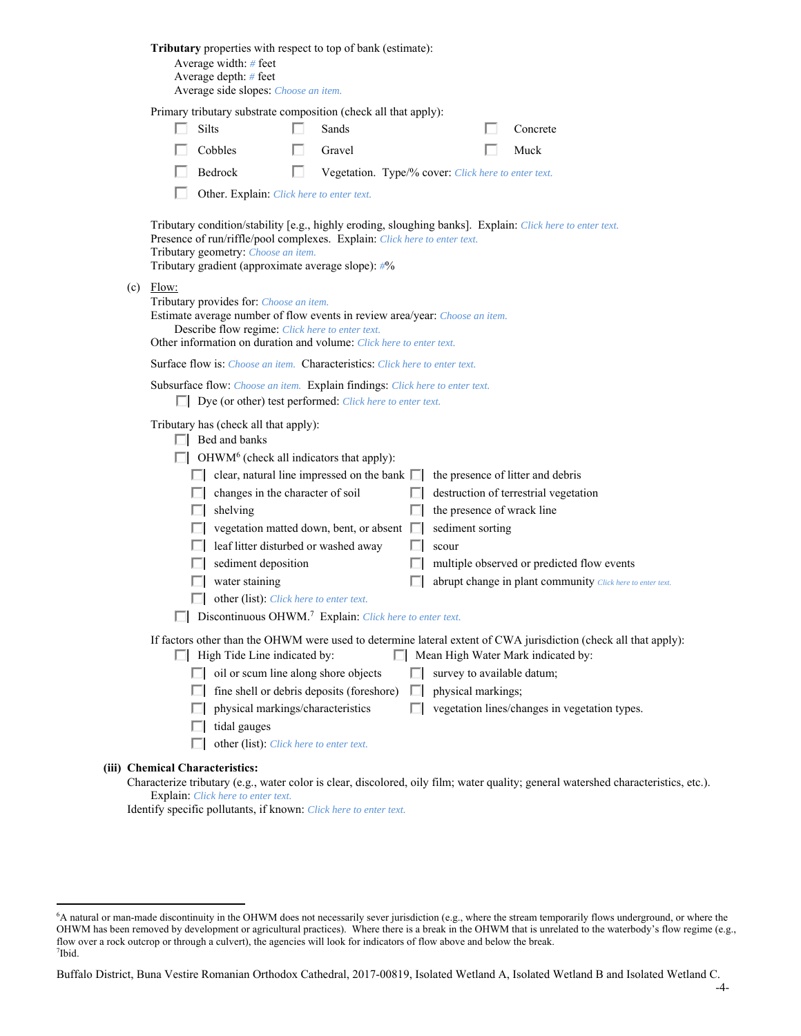| Tributary properties with respect to top of bank (estimate):<br>Average width: $#$ feet<br>Average depth: # feet<br>Average side slopes: Choose an item.                                                                                                                                                                                                                                                                                                                                                                                                                                                                                                                                                                                                                                                                                                                                                                                                                                                                                                                                           |
|----------------------------------------------------------------------------------------------------------------------------------------------------------------------------------------------------------------------------------------------------------------------------------------------------------------------------------------------------------------------------------------------------------------------------------------------------------------------------------------------------------------------------------------------------------------------------------------------------------------------------------------------------------------------------------------------------------------------------------------------------------------------------------------------------------------------------------------------------------------------------------------------------------------------------------------------------------------------------------------------------------------------------------------------------------------------------------------------------|
| Primary tributary substrate composition (check all that apply):                                                                                                                                                                                                                                                                                                                                                                                                                                                                                                                                                                                                                                                                                                                                                                                                                                                                                                                                                                                                                                    |
| Silts<br>Sands<br>Concrete                                                                                                                                                                                                                                                                                                                                                                                                                                                                                                                                                                                                                                                                                                                                                                                                                                                                                                                                                                                                                                                                         |
| Cobbles<br>Gravel<br>Muck                                                                                                                                                                                                                                                                                                                                                                                                                                                                                                                                                                                                                                                                                                                                                                                                                                                                                                                                                                                                                                                                          |
| Bedrock<br>Vegetation. Type/% cover: Click here to enter text.                                                                                                                                                                                                                                                                                                                                                                                                                                                                                                                                                                                                                                                                                                                                                                                                                                                                                                                                                                                                                                     |
| Other. Explain: Click here to enter text.                                                                                                                                                                                                                                                                                                                                                                                                                                                                                                                                                                                                                                                                                                                                                                                                                                                                                                                                                                                                                                                          |
| Tributary condition/stability [e.g., highly eroding, sloughing banks]. Explain: Click here to enter text.<br>Presence of run/riffle/pool complexes. Explain: Click here to enter text.<br>Tributary geometry: Choose an item.<br>Tributary gradient (approximate average slope): #%                                                                                                                                                                                                                                                                                                                                                                                                                                                                                                                                                                                                                                                                                                                                                                                                                |
| $(c)$ Flow:<br>Tributary provides for: Choose an item.<br>Estimate average number of flow events in review area/year: Choose an item.<br>Describe flow regime: Click here to enter text.<br>Other information on duration and volume: Click here to enter text.                                                                                                                                                                                                                                                                                                                                                                                                                                                                                                                                                                                                                                                                                                                                                                                                                                    |
| <b>Surface flow is:</b> <i>Choose an item.</i> <b>Characteristics:</b> <i>Click here to enter text.</i>                                                                                                                                                                                                                                                                                                                                                                                                                                                                                                                                                                                                                                                                                                                                                                                                                                                                                                                                                                                            |
| Subsurface flow: Choose an item. Explain findings: Click here to enter text.<br>$\Box$ Dye (or other) test performed: <i>Click here to enter text</i> .                                                                                                                                                                                                                                                                                                                                                                                                                                                                                                                                                                                                                                                                                                                                                                                                                                                                                                                                            |
| Tributary has (check all that apply):<br>$\Box$ Bed and banks<br>OHWM <sup>6</sup> (check all indicators that apply):<br>$\Box$ clear, natural line impressed on the bank $\Box$<br>the presence of litter and debris<br>destruction of terrestrial vegetation<br>changes in the character of soil<br>shelving<br>the presence of wrack line<br>vegetation matted down, bent, or absent  <br>sediment sorting<br>leaf litter disturbed or washed away<br>scour<br>sediment deposition<br>multiple observed or predicted flow events<br>water staining<br>abrupt change in plant community Click here to enter text.<br>other (list): Click here to enter text.<br>Discontinuous OHWM. <sup>7</sup> Explain: Click here to enter text.<br>If factors other than the OHWM were used to determine lateral extent of CWA jurisdiction (check all that apply):<br>$\Box$ High Tide Line indicated by:<br>$\Box$ Mean High Water Mark indicated by:<br>$\Box$ oil or scum line along shore objects<br>survey to available datum;<br>fine shell or debris deposits (foreshore)<br>physical markings;<br>ш |
| physical markings/characteristics<br>vegetation lines/changes in vegetation types.<br>tidal gauges<br>other (list): Click here to enter text.                                                                                                                                                                                                                                                                                                                                                                                                                                                                                                                                                                                                                                                                                                                                                                                                                                                                                                                                                      |
| (iii) Chemical Characteristics:<br>Characterize tributary (e.g., water color is clear, discolored, oily film; water quality; general watershed characteristics, etc.).                                                                                                                                                                                                                                                                                                                                                                                                                                                                                                                                                                                                                                                                                                                                                                                                                                                                                                                             |
|                                                                                                                                                                                                                                                                                                                                                                                                                                                                                                                                                                                                                                                                                                                                                                                                                                                                                                                                                                                                                                                                                                    |

Explain: *Click here to enter text.*

 $\overline{a}$ 

Identify specific pollutants, if known: *Click here to enter text.*

<sup>6</sup> A natural or man-made discontinuity in the OHWM does not necessarily sever jurisdiction (e.g., where the stream temporarily flows underground, or where the OHWM has been removed by development or agricultural practices). Where there is a break in the OHWM that is unrelated to the waterbody's flow regime (e.g., flow over a rock outcrop or through a culvert), the agencies will look for indicators of flow above and below the break. 7 Ibid.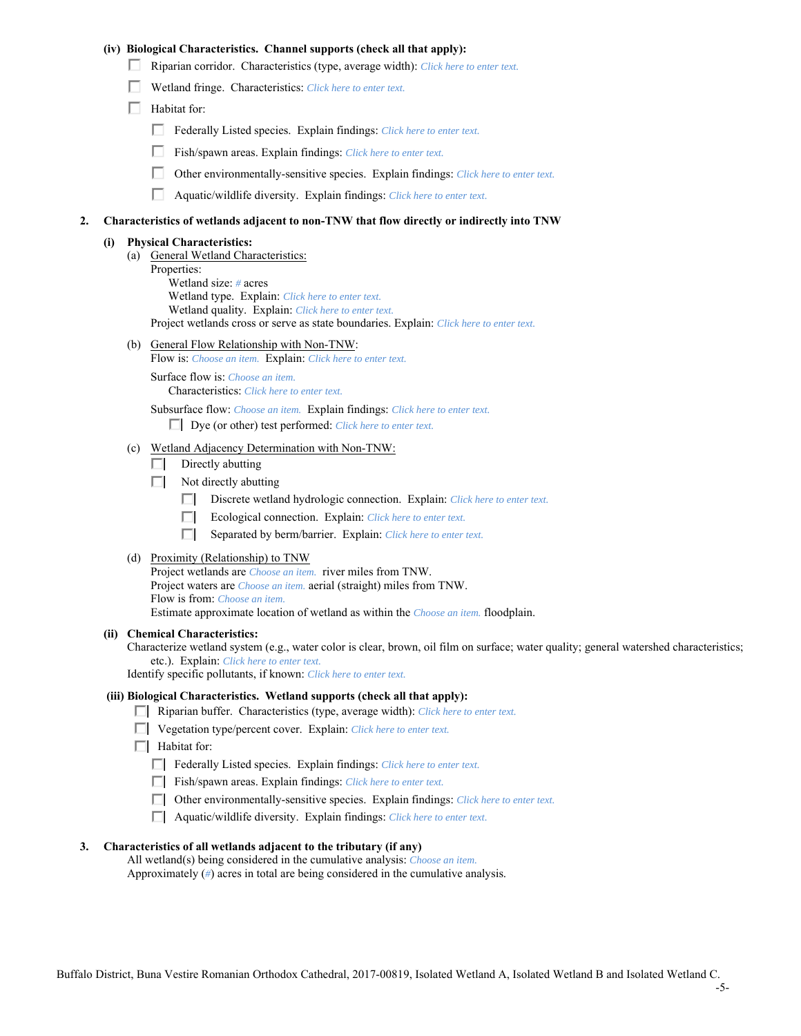## **(iv) Biological Characteristics. Channel supports (check all that apply):**

- Riparian corridor. Characteristics (type, average width): *Click here to enter text.*
- Wetland fringe. Characteristics: *Click here to enter text.*
- $\Box$  Habitat for:
	- Federally Listed species. Explain findings: *Click here to enter text.*
	- п. Fish/spawn areas. Explain findings: *Click here to enter text.*
	- Other environmentally-sensitive species. Explain findings: *Click here to enter text.* П.
	- п. Aquatic/wildlife diversity. Explain findings: *Click here to enter text.*

#### **2. Characteristics of wetlands adjacent to non-TNW that flow directly or indirectly into TNW**

#### **(i) Physical Characteristics:**

- (a) General Wetland Characteristics:
	- Properties:

 Wetland size: *#* acres Wetland type. Explain: *Click here to enter text.*

Wetland quality. Explain: *Click here to enter text.*

Project wetlands cross or serve as state boundaries. Explain: *Click here to enter text.*

(b) General Flow Relationship with Non-TNW: Flow is: *Choose an item.* Explain: *Click here to enter text.*

 Surface flow is: *Choose an item.* Characteristics: *Click here to enter text.*

Subsurface flow: *Choose an item.* Explain findings: *Click here to enter text.*

Dye (or other) test performed: *Click here to enter text.*

### (c) Wetland Adjacency Determination with Non-TNW:

- $\Box$  Directly abutting
- $\Box$  Not directly abutting
	- O. Discrete wetland hydrologic connection. Explain: *Click here to enter text.*
	- Ecological connection. Explain: *Click here to enter text.* O.
	- П. Separated by berm/barrier. Explain: *Click here to enter text.*
- (d) Proximity (Relationship) to TNW

Project wetlands are *Choose an item.* river miles from TNW. Project waters are *Choose an item.* aerial (straight) miles from TNW. Flow is from: *Choose an item.* Estimate approximate location of wetland as within the *Choose an item.* floodplain.

### **(ii) Chemical Characteristics:**

Characterize wetland system (e.g., water color is clear, brown, oil film on surface; water quality; general watershed characteristics; etc.). Explain: *Click here to enter text.*

Identify specific pollutants, if known: *Click here to enter text.*

## **(iii) Biological Characteristics. Wetland supports (check all that apply):**

- Riparian buffer. Characteristics (type, average width): *Click here to enter text.*
- Vegetation type/percent cover. Explain: *Click here to enter text.*
- $\Box$  Habitat for:
	- Federally Listed species. Explain findings: *Click here to enter text*.
	- Fish/spawn areas. Explain findings: *Click here to enter text*.
	- Other environmentally-sensitive species. Explain findings: *Click here to enter text.*
	- Aquatic/wildlife diversity. Explain findings: *Click here to enter text.*

#### **3. Characteristics of all wetlands adjacent to the tributary (if any)**

All wetland(s) being considered in the cumulative analysis: *Choose an item.*

Approximately (*#*) acres in total are being considered in the cumulative analysis.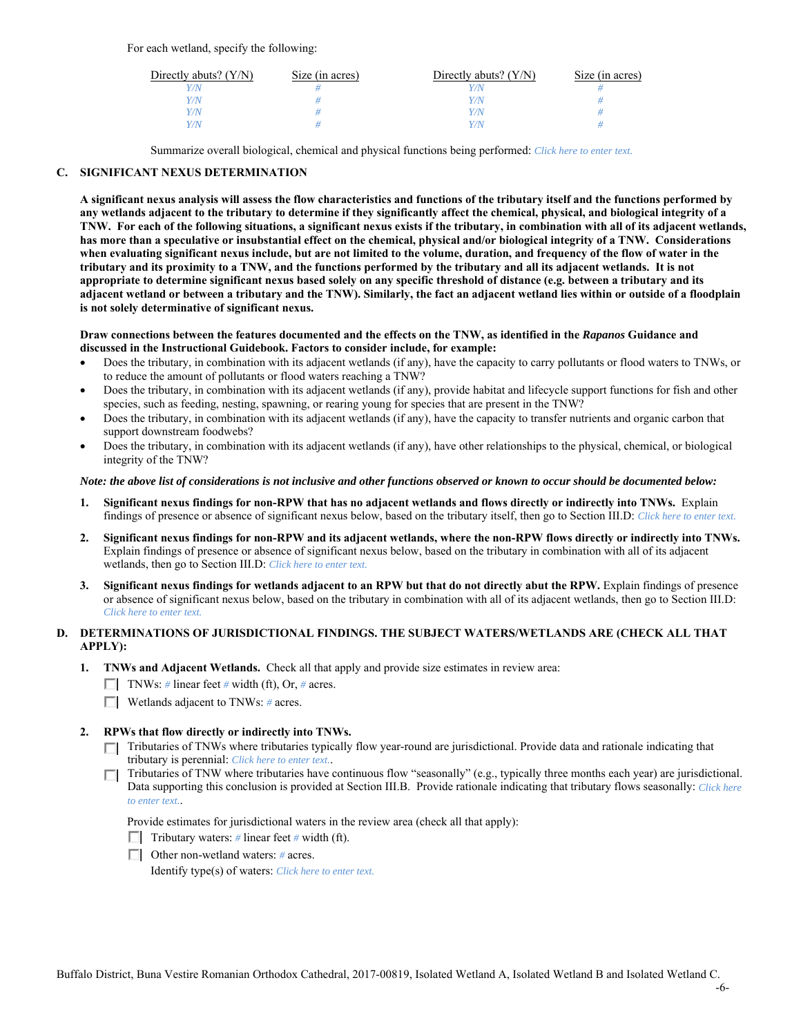For each wetland, specify the following:

| Directly abuts? $(Y/N)$ | Size (in acres) | Directly abuts? $(Y/N)$ | Size (in acres) |
|-------------------------|-----------------|-------------------------|-----------------|
|                         |                 |                         |                 |
| $\sqrt{N}$              |                 | 77 N                    |                 |
| $\sqrt{2}$              |                 | 77 N                    |                 |
| $\sqrt{N}$              |                 | 77 N                    |                 |

Summarize overall biological, chemical and physical functions being performed: *Click here to enter text.*

## **C. SIGNIFICANT NEXUS DETERMINATION**

**A significant nexus analysis will assess the flow characteristics and functions of the tributary itself and the functions performed by any wetlands adjacent to the tributary to determine if they significantly affect the chemical, physical, and biological integrity of a TNW. For each of the following situations, a significant nexus exists if the tributary, in combination with all of its adjacent wetlands, has more than a speculative or insubstantial effect on the chemical, physical and/or biological integrity of a TNW. Considerations when evaluating significant nexus include, but are not limited to the volume, duration, and frequency of the flow of water in the tributary and its proximity to a TNW, and the functions performed by the tributary and all its adjacent wetlands. It is not appropriate to determine significant nexus based solely on any specific threshold of distance (e.g. between a tributary and its adjacent wetland or between a tributary and the TNW). Similarly, the fact an adjacent wetland lies within or outside of a floodplain is not solely determinative of significant nexus.** 

### **Draw connections between the features documented and the effects on the TNW, as identified in the** *Rapanos* **Guidance and discussed in the Instructional Guidebook. Factors to consider include, for example:**

- Does the tributary, in combination with its adjacent wetlands (if any), have the capacity to carry pollutants or flood waters to TNWs, or to reduce the amount of pollutants or flood waters reaching a TNW?
- Does the tributary, in combination with its adjacent wetlands (if any), provide habitat and lifecycle support functions for fish and other species, such as feeding, nesting, spawning, or rearing young for species that are present in the TNW?
- Does the tributary, in combination with its adjacent wetlands (if any), have the capacity to transfer nutrients and organic carbon that support downstream foodwebs?
- Does the tributary, in combination with its adjacent wetlands (if any), have other relationships to the physical, chemical, or biological integrity of the TNW?

### *Note: the above list of considerations is not inclusive and other functions observed or known to occur should be documented below:*

- **1. Significant nexus findings for non-RPW that has no adjacent wetlands and flows directly or indirectly into TNWs.** Explain findings of presence or absence of significant nexus below, based on the tributary itself, then go to Section III.D: *Click here to enter text.*
- **2. Significant nexus findings for non-RPW and its adjacent wetlands, where the non-RPW flows directly or indirectly into TNWs.**  Explain findings of presence or absence of significant nexus below, based on the tributary in combination with all of its adjacent wetlands, then go to Section III.D: *Click here to enter text.*
- **3. Significant nexus findings for wetlands adjacent to an RPW but that do not directly abut the RPW.** Explain findings of presence or absence of significant nexus below, based on the tributary in combination with all of its adjacent wetlands, then go to Section III.D: *Click here to enter text.*

# **D. DETERMINATIONS OF JURISDICTIONAL FINDINGS. THE SUBJECT WATERS/WETLANDS ARE (CHECK ALL THAT APPLY):**

- **1. TNWs and Adjacent Wetlands.** Check all that apply and provide size estimates in review area:
	- TNWs: *#* linear feet *#* width (ft), Or, *#* acres.
	- Wetlands adjacent to TNWs: *#* acres.

## **2. RPWs that flow directly or indirectly into TNWs.**

- Tributaries of TNWs where tributaries typically flow year-round are jurisdictional. Provide data and rationale indicating that tributary is perennial: *Click here to enter text.*.
- Tributaries of TNW where tributaries have continuous flow "seasonally" (e.g., typically three months each year) are jurisdictional. Data supporting this conclusion is provided at Section III.B. Provide rationale indicating that tributary flows seasonally: *Click here to enter text.*.

Provide estimates for jurisdictional waters in the review area (check all that apply):

- $\Box$  Tributary waters: # linear feet # width (ft).
- Other non-wetland waters: *#* acres.

Identify type(s) of waters: *Click here to enter text.*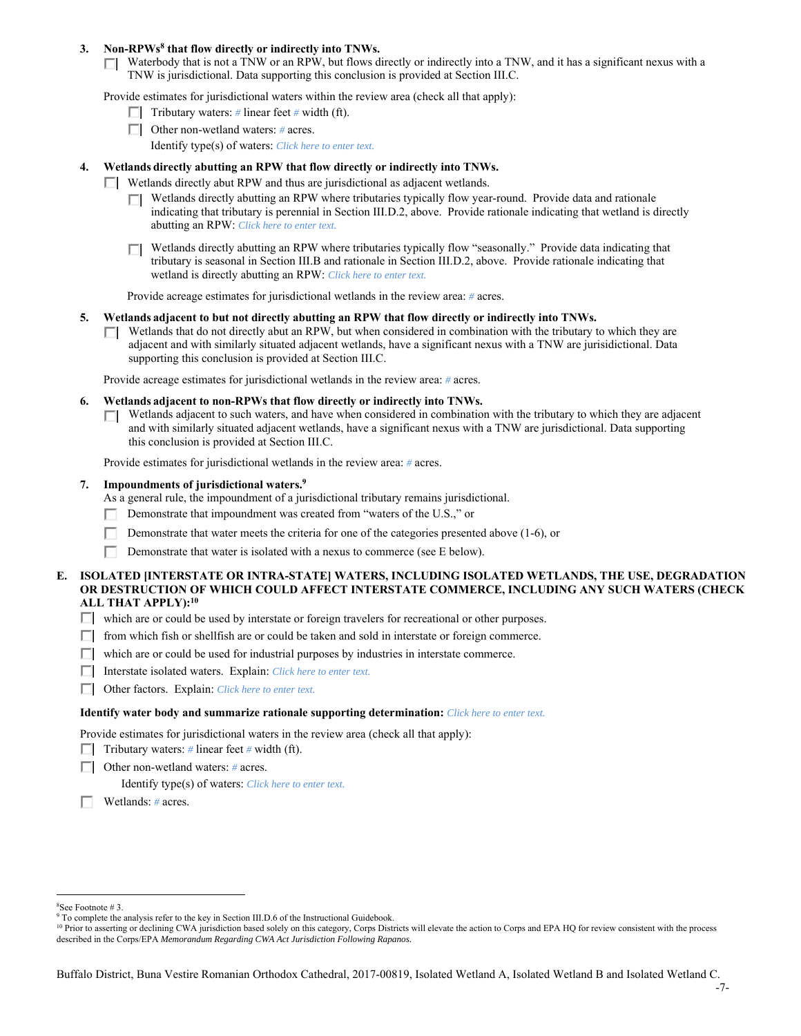## 3. Non-RPWs<sup>8</sup> that flow directly or indirectly into TNWs.

Waterbody that is not a TNW or an RPW, but flows directly or indirectly into a TNW, and it has a significant nexus with a TNW is jurisdictional. Data supporting this conclusion is provided at Section III.C.

Provide estimates for jurisdictional waters within the review area (check all that apply):

- **Tributary waters:** # linear feet # width (ft).
- Other non-wetland waters: *#* acres. Identify type(s) of waters: *Click here to enter text.*
- **4. Wetlands directly abutting an RPW that flow directly or indirectly into TNWs.**
	- Wetlands directly abut RPW and thus are jurisdictional as adjacent wetlands.
		- Wetlands directly abutting an RPW where tributaries typically flow year-round. Provide data and rationale indicating that tributary is perennial in Section III.D.2, above. Provide rationale indicating that wetland is directly abutting an RPW: *Click here to enter text.*
		- Wetlands directly abutting an RPW where tributaries typically flow "seasonally." Provide data indicating that П tributary is seasonal in Section III.B and rationale in Section III.D.2, above. Provide rationale indicating that wetland is directly abutting an RPW: *Click here to enter text.*

Provide acreage estimates for jurisdictional wetlands in the review area: *#* acres.

- **5. Wetlands adjacent to but not directly abutting an RPW that flow directly or indirectly into TNWs.** 
	- $\Box$  Wetlands that do not directly abut an RPW, but when considered in combination with the tributary to which they are adjacent and with similarly situated adjacent wetlands, have a significant nexus with a TNW are jurisidictional. Data supporting this conclusion is provided at Section III.C.

Provide acreage estimates for jurisdictional wetlands in the review area: *#* acres.

- **6. Wetlands adjacent to non-RPWs that flow directly or indirectly into TNWs.** 
	- Wetlands adjacent to such waters, and have when considered in combination with the tributary to which they are adjacent and with similarly situated adjacent wetlands, have a significant nexus with a TNW are jurisdictional. Data supporting this conclusion is provided at Section III.C.

Provide estimates for jurisdictional wetlands in the review area: *#* acres.

 **7. Impoundments of jurisdictional waters.9**

As a general rule, the impoundment of a jurisdictional tributary remains jurisdictional.

- Demonstrate that impoundment was created from "waters of the U.S.," or
- Demonstrate that water meets the criteria for one of the categories presented above (1-6), or
- п Demonstrate that water is isolated with a nexus to commerce (see E below).
- **E. ISOLATED [INTERSTATE OR INTRA-STATE] WATERS, INCLUDING ISOLATED WETLANDS, THE USE, DEGRADATION OR DESTRUCTION OF WHICH COULD AFFECT INTERSTATE COMMERCE, INCLUDING ANY SUCH WATERS (CHECK ALL THAT APPLY):10**
	- which are or could be used by interstate or foreign travelers for recreational or other purposes.
	- $\Box$  from which fish or shellfish are or could be taken and sold in interstate or foreign commerce.
	- $\Box$  which are or could be used for industrial purposes by industries in interstate commerce.
	- Interstate isolated waters.Explain: *Click here to enter text.*
	- Other factors.Explain: *Click here to enter text.*

### **Identify water body and summarize rationale supporting determination:** *Click here to enter text.*

Provide estimates for jurisdictional waters in the review area (check all that apply):

- **Tributary waters:** # linear feet # width (ft).
- Other non-wetland waters: *#* acres.

Identify type(s) of waters: *Click here to enter text.*

Wetlands: *#* acres.

 $\overline{a}$ 8 See Footnote # 3.

<sup>&</sup>lt;sup>9</sup> To complete the analysis refer to the key in Section III.D.6 of the Instructional Guidebook.

<sup>&</sup>lt;sup>10</sup> Prior to asserting or declining CWA jurisdiction based solely on this category, Corps Districts will elevate the action to Corps and EPA HQ for review consistent with the process described in the Corps/EPA *Memorandum Regarding CWA Act Jurisdiction Following Rapanos.*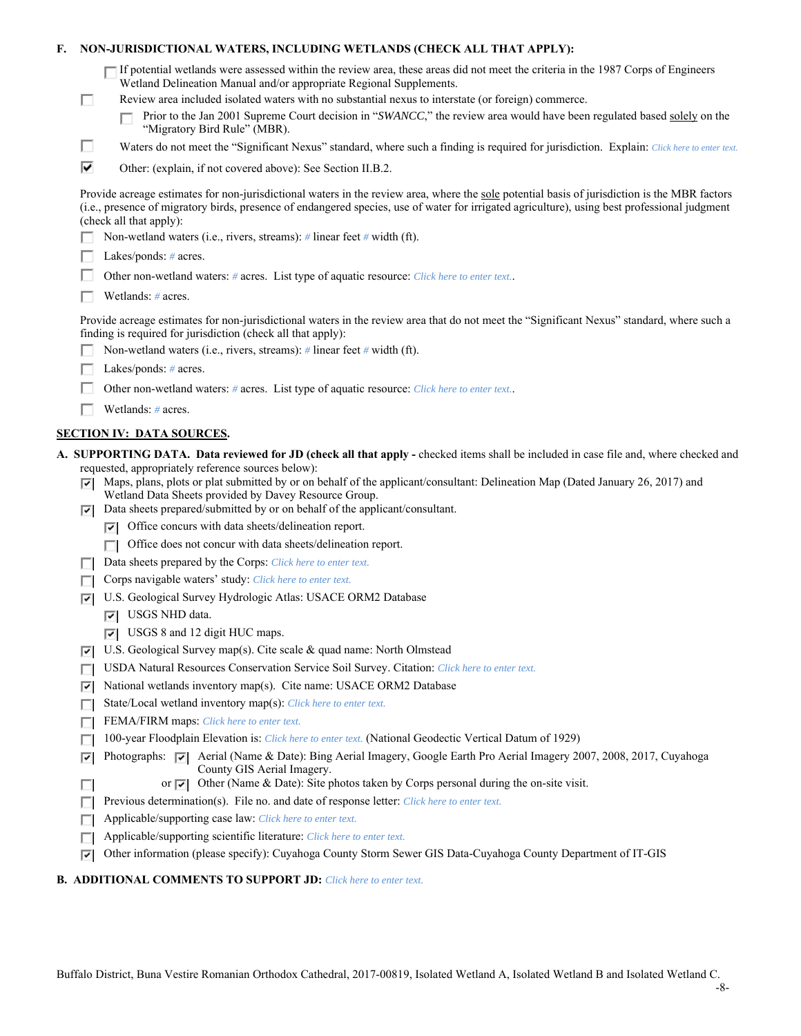| F.                                                                                         |                                   | NON-JURISDICTIONAL WATERS, INCLUDING WETLANDS (CHECK ALL THAT APPLY):                                                                                                                                                                                                                                                                                                                                                                                                     |
|--------------------------------------------------------------------------------------------|-----------------------------------|---------------------------------------------------------------------------------------------------------------------------------------------------------------------------------------------------------------------------------------------------------------------------------------------------------------------------------------------------------------------------------------------------------------------------------------------------------------------------|
|                                                                                            | П                                 | If potential wetlands were assessed within the review area, these areas did not meet the criteria in the 1987 Corps of Engineers<br>Wetland Delineation Manual and/or appropriate Regional Supplements.<br>Review area included isolated waters with no substantial nexus to interstate (or foreign) commerce.<br>Prior to the Jan 2001 Supreme Court decision in "SWANCC," the review area would have been regulated based solely on the<br>"Migratory Bird Rule" (MBR). |
|                                                                                            | п                                 | Waters do not meet the "Significant Nexus" standard, where such a finding is required for jurisdiction. Explain: Click here to enter text.                                                                                                                                                                                                                                                                                                                                |
|                                                                                            |                                   |                                                                                                                                                                                                                                                                                                                                                                                                                                                                           |
|                                                                                            | ⊽                                 | Other: (explain, if not covered above): See Section II.B.2.                                                                                                                                                                                                                                                                                                                                                                                                               |
|                                                                                            |                                   | Provide acreage estimates for non-jurisdictional waters in the review area, where the sole potential basis of jurisdiction is the MBR factors<br>(i.e., presence of migratory birds, presence of endangered species, use of water for irrigated agriculture), using best professional judgment<br>(check all that apply):                                                                                                                                                 |
| Non-wetland waters (i.e., rivers, streams): $\#$ linear feet $\#$ width (ft).              |                                   |                                                                                                                                                                                                                                                                                                                                                                                                                                                                           |
|                                                                                            | Lakes/ponds: $# \, \text{acres.}$ |                                                                                                                                                                                                                                                                                                                                                                                                                                                                           |
| Other non-wetland waters: # acres. List type of aquatic resource: Click here to enter text |                                   |                                                                                                                                                                                                                                                                                                                                                                                                                                                                           |
|                                                                                            |                                   | Wetlands: # acres.                                                                                                                                                                                                                                                                                                                                                                                                                                                        |
| finding is required for jurisdiction (check all that apply):                               |                                   | Provide acreage estimates for non-jurisdictional waters in the review area that do not meet the "Significant Nexus" standard, where such a                                                                                                                                                                                                                                                                                                                                |
|                                                                                            |                                   | Non-wetland waters (i.e., rivers, streams): $\#$ linear feet $\#$ width (ft).                                                                                                                                                                                                                                                                                                                                                                                             |
|                                                                                            |                                   | Lakes/ponds: $# \, \text{acres.}$                                                                                                                                                                                                                                                                                                                                                                                                                                         |
|                                                                                            |                                   | Other non-wetland waters: # acres. List type of aquatic resource: Click here to enter text                                                                                                                                                                                                                                                                                                                                                                                |
|                                                                                            |                                   | Wetlands: # acres.                                                                                                                                                                                                                                                                                                                                                                                                                                                        |
|                                                                                            |                                   |                                                                                                                                                                                                                                                                                                                                                                                                                                                                           |
|                                                                                            |                                   | <b>SECTION IV: DATA SOURCES.</b>                                                                                                                                                                                                                                                                                                                                                                                                                                          |
|                                                                                            | ⊡<br>⊽                            | A. SUPPORTING DATA. Data reviewed for JD (check all that apply - checked items shall be included in case file and, where checked and<br>requested, appropriately reference sources below):<br>Maps, plans, plots or plat submitted by or on behalf of the applicant/consultant: Delineation Map (Dated January 26, 2017) and<br>Wetland Data Sheets provided by Davey Resource Group.<br>Data sheets prepared/submitted by or on behalf of the applicant/consultant.      |
|                                                                                            |                                   | $\triangleright$ Office concurs with data sheets/delineation report.                                                                                                                                                                                                                                                                                                                                                                                                      |
|                                                                                            |                                   | Office does not concur with data sheets/delineation report.<br>П                                                                                                                                                                                                                                                                                                                                                                                                          |
|                                                                                            | п                                 | Data sheets prepared by the Corps: Click here to enter text.                                                                                                                                                                                                                                                                                                                                                                                                              |
|                                                                                            | п                                 | Corps navigable waters' study: Click here to enter text.                                                                                                                                                                                                                                                                                                                                                                                                                  |
|                                                                                            | ⊽                                 | U.S. Geological Survey Hydrologic Atlas: USACE ORM2 Database                                                                                                                                                                                                                                                                                                                                                                                                              |
|                                                                                            |                                   | $ \overline{v} $ USGS NHD data.                                                                                                                                                                                                                                                                                                                                                                                                                                           |
|                                                                                            |                                   | $\triangledown$ USGS 8 and 12 digit HUC maps.                                                                                                                                                                                                                                                                                                                                                                                                                             |
|                                                                                            | 罓                                 | U.S. Geological Survey map(s). Cite scale & quad name: North Olmstead                                                                                                                                                                                                                                                                                                                                                                                                     |
|                                                                                            | п                                 | USDA Natural Resources Conservation Service Soil Survey. Citation: Click here to enter text.                                                                                                                                                                                                                                                                                                                                                                              |
|                                                                                            | ⊽                                 | National wetlands inventory map(s). Cite name: USACE ORM2 Database                                                                                                                                                                                                                                                                                                                                                                                                        |
|                                                                                            | Е                                 | State/Local wetland inventory map(s): Click here to enter text.                                                                                                                                                                                                                                                                                                                                                                                                           |
|                                                                                            | г                                 | FEMA/FIRM maps: Click here to enter text.                                                                                                                                                                                                                                                                                                                                                                                                                                 |
|                                                                                            | П                                 | 100-year Floodplain Elevation is: Click here to enter text. (National Geodectic Vertical Datum of 1929)                                                                                                                                                                                                                                                                                                                                                                   |
|                                                                                            | ⊽                                 | Photographs: $\overline{\smile}$ Aerial (Name & Date): Bing Aerial Imagery, Google Earth Pro Aerial Imagery 2007, 2008, 2017, Cuyahoga<br>County GIS Aerial Imagery.                                                                                                                                                                                                                                                                                                      |
|                                                                                            | п                                 | Other (Name & Date): Site photos taken by Corps personal during the on-site visit.<br>or $ \nabla $                                                                                                                                                                                                                                                                                                                                                                       |
|                                                                                            | г                                 | Previous determination(s). File no. and date of response letter: Click here to enter text.                                                                                                                                                                                                                                                                                                                                                                                |
|                                                                                            |                                   | Applicable/supporting case law: Click here to enter text.                                                                                                                                                                                                                                                                                                                                                                                                                 |

Applicable/supporting scientific literature: *Click here to enter text.*

Other information (please specify): Cuyahoga County Storm Sewer GIS Data-Cuyahoga County Department of IT-GIS

# **B. ADDITIONAL COMMENTS TO SUPPORT JD:** *Click here to enter text.*